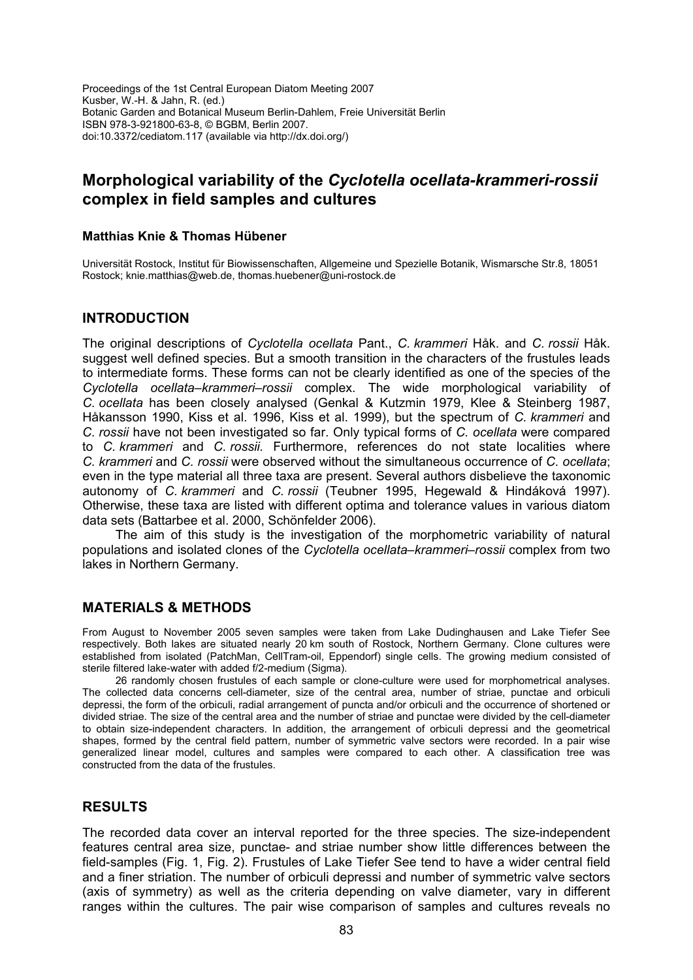Proceedings of the 1st Central European Diatom Meeting 2007 Kusber, W.-H. & Jahn, R. (ed.) Botanic Garden and Botanical Museum Berlin-Dahlem, Freie Universität Berlin ISBN 978-3-921800-63-8, © BGBM, Berlin 2007. doi:10.3372/cediatom.117 (available via http://dx.doi.org/)

# **Morphological variability of the** *Cyclotella ocellata-krammeri-rossii* **complex in field samples and cultures**

#### **Matthias Knie & Thomas Hübener**

Universität Rostock, Institut für Biowissenschaften, Allgemeine und Spezielle Botanik, Wismarsche Str.8, 18051 Rostock; knie.matthias@web.de, thomas.huebener@uni-rostock.de

### **INTRODUCTION**

The original descriptions of *Cyclotella ocellata* Pant., *C. krammeri* Håk. and *C. rossii* Håk. suggest well defined species. But a smooth transition in the characters of the frustules leads to intermediate forms. These forms can not be clearly identified as one of the species of the *Cyclotella ocellata–krammeri–rossii* complex. The wide morphological variability of *C. ocellata* has been closely analysed (Genkal & Kutzmin 1979, Klee & Steinberg 1987, Håkansson 1990, Kiss et al. 1996, Kiss et al. 1999), but the spectrum of *C. krammeri* and *C. rossii* have not been investigated so far. Only typical forms of *C. ocellata* were compared to *C. krammeri* and *C. rossii.* Furthermore, references do not state localities where *C. krammeri* and *C. rossii* were observed without the simultaneous occurrence of *C. ocellata*; even in the type material all three taxa are present. Several authors disbelieve the taxonomic autonomy of *C. krammeri* and *C. rossii* (Teubner 1995, Hegewald & Hindáková 1997). Otherwise, these taxa are listed with different optima and tolerance values in various diatom data sets (Battarbee et al. 2000, Schönfelder 2006).

The aim of this study is the investigation of the morphometric variability of natural populations and isolated clones of the *Cyclotella ocellata–krammeri–rossii* complex from two lakes in Northern Germany.

### **MATERIALS & METHODS**

From August to November 2005 seven samples were taken from Lake Dudinghausen and Lake Tiefer See respectively. Both lakes are situated nearly 20 km south of Rostock, Northern Germany. Clone cultures were established from isolated (PatchMan, CellTram-oil, Eppendorf) single cells. The growing medium consisted of sterile filtered lake-water with added f/2-medium (Sigma).

26 randomly chosen frustules of each sample or clone-culture were used for morphometrical analyses. The collected data concerns cell-diameter, size of the central area, number of striae, punctae and orbiculi depressi, the form of the orbiculi, radial arrangement of puncta and/or orbiculi and the occurrence of shortened or divided striae. The size of the central area and the number of striae and punctae were divided by the cell-diameter to obtain size-independent characters. In addition, the arrangement of orbiculi depressi and the geometrical shapes, formed by the central field pattern, number of symmetric valve sectors were recorded. In a pair wise generalized linear model, cultures and samples were compared to each other. A classification tree was constructed from the data of the frustules.

### **RESULTS**

The recorded data cover an interval reported for the three species. The size-independent features central area size, punctae- and striae number show little differences between the field-samples (Fig. 1, Fig. 2). Frustules of Lake Tiefer See tend to have a wider central field and a finer striation. The number of orbiculi depressi and number of symmetric valve sectors (axis of symmetry) as well as the criteria depending on valve diameter, vary in different ranges within the cultures. The pair wise comparison of samples and cultures reveals no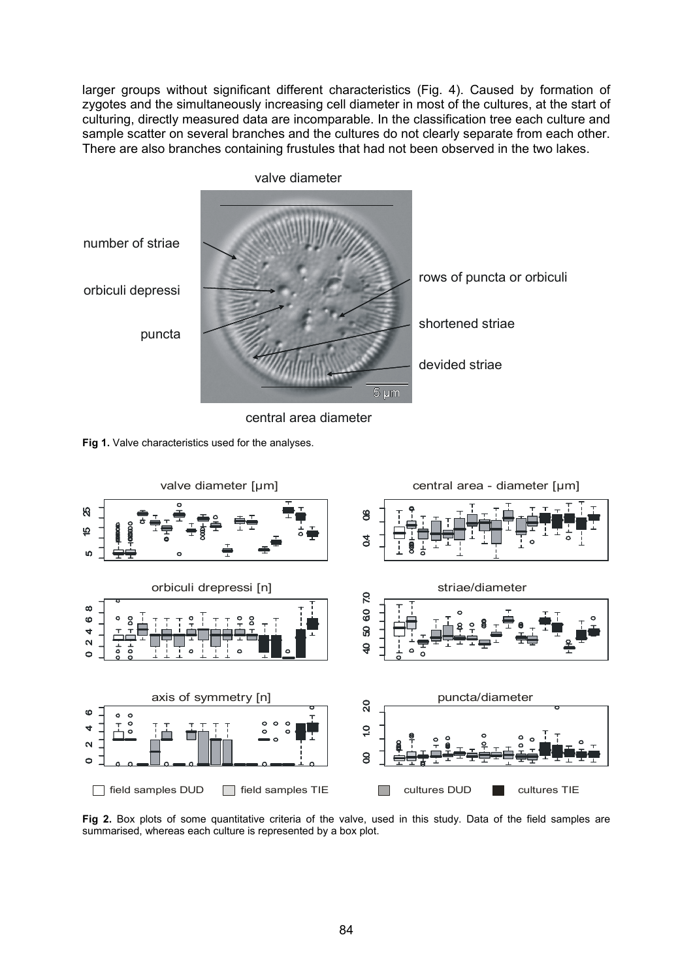larger groups without significant different characteristics (Fig. 4). Caused by formation of zygotes and the simultaneously increasing cell diameter in most of the cultures, at the start of culturing, directly measured data are incomparable. In the classification tree each culture and sample scatter on several branches and the cultures do not clearly separate from each other. There are also branches containing frustules that had not been observed in the two lakes.



central area diameter





**Fig 2.** Box plots of some quantitative criteria of the valve, used in this study. Data of the field samples are summarised, whereas each culture is represented by a box plot.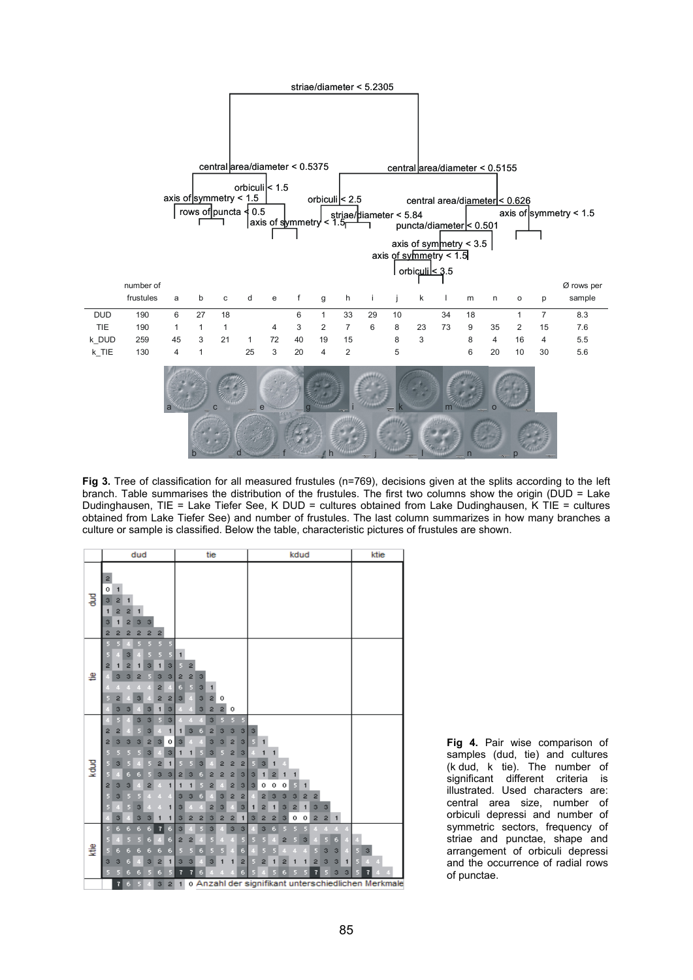

Fig 3. Tree of classification for all measured frustules (n=769), decisions given at the splits according to the left branch. Table summarises the distribution of the frustules. The first two columns show the origin (DUD = Lake Dudinghausen, TIE = Lake Tiefer See, K DUD = cultures obtained from Lake Dudinghausen, K TIE = cultures obtained from Lake Tiefer See) and number of frustules. The last column summarizes in how many branches a culture or sample is classified. Below the table, characteristic pictures of frustules are shown.



**Fig 4.** Pair wise comparison of samples (dud, tie) and cultures (k dud, k tie). The number of significant different criteria is illustrated. Used characters are: central area size, number of orbiculi depressi and number of symmetric sectors, frequency of striae and punctae, shape and arrangement of orbiculi depressi and the occurrence of radial rows of punctae.